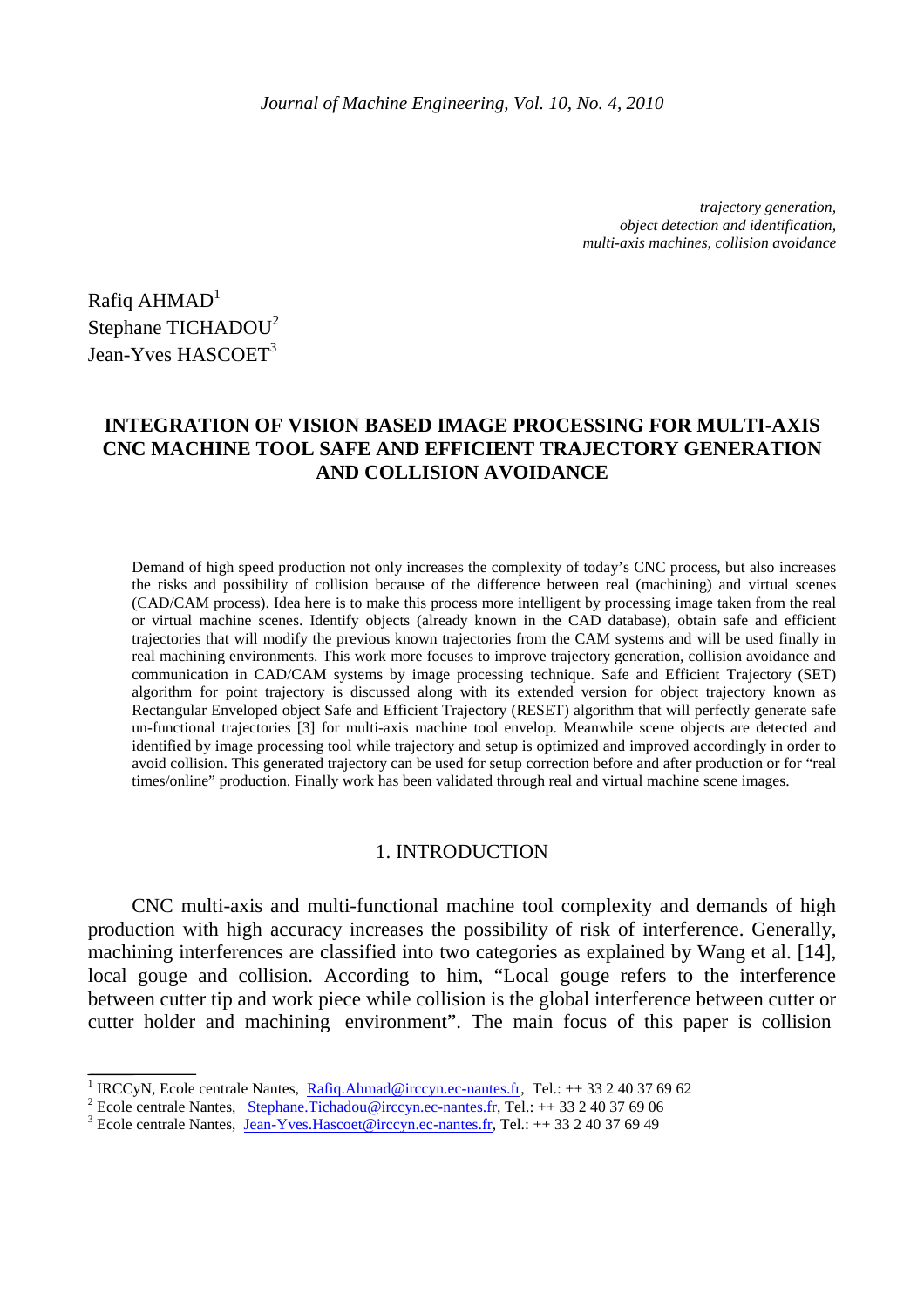*trajectory generation, object detection and identification, multi-axis machines, collision avoidance*

Rafiq  $AHMAD<sup>1</sup>$ Stephane TICHADOU<sup>2</sup> Jean-Yves HASCOET<sup>3</sup>

# **INTEGRATION OF VISION BASED IMAGE PROCESSING FOR MULTI-AXIS CNC MACHINE TOOL SAFE AND EFFICIENT TRAJECTORY GENERATION AND COLLISION AVOIDANCE**

Demand of high speed production not only increases the complexity of today's CNC process, but also increases the risks and possibility of collision because of the difference between real (machining) and virtual scenes (CAD/CAM process). Idea here is to make this process more intelligent by processing image taken from the real or virtual machine scenes. Identify objects (already known in the CAD database), obtain safe and efficient trajectories that will modify the previous known trajectories from the CAM systems and will be used finally in real machining environments. This work more focuses to improve trajectory generation, collision avoidance and communication in CAD/CAM systems by image processing technique. Safe and Efficient Trajectory (SET) algorithm for point trajectory is discussed along with its extended version for object trajectory known as Rectangular Enveloped object Safe and Efficient Trajectory (RESET) algorithm that will perfectly generate safe un-functional trajectories [3] for multi-axis machine tool envelop. Meanwhile scene objects are detected and identified by image processing tool while trajectory and setup is optimized and improved accordingly in order to avoid collision. This generated trajectory can be used for setup correction before and after production or for "real times/online" production. Finally work has been validated through real and virtual machine scene images.

### 1. INTRODUCTION

CNC multi-axis and multi-functional machine tool complexity and demands of high production with high accuracy increases the possibility of risk of interference. Generally, machining interferences are classified into two categories as explained by Wang et al. [14], local gouge and collision. According to him, "Local gouge refers to the interference between cutter tip and work piece while collision is the global interference between cutter or cutter holder and machining environment". The main focus of this paper is collision

<sup>&</sup>lt;sup>1</sup> IRCCyN, Ecole centrale Nantes, Rafiq.Ahmad@irccyn.ec-nantes.fr, Tel.: ++33 2 40 37 69 62

<sup>&</sup>lt;sup>2</sup> Ecole centrale Nantes, <u>Stephane. Tichadou@irccyn.ec-nantes.fr</u>, Tel.: ++ 33 2 40 37 69 06

<sup>&</sup>lt;sup>3</sup> Ecole centrale Nantes, Jean-Yves. Hascoet @irccyn.ec-nantes.fr, Tel.: ++33 2 40 37 69 49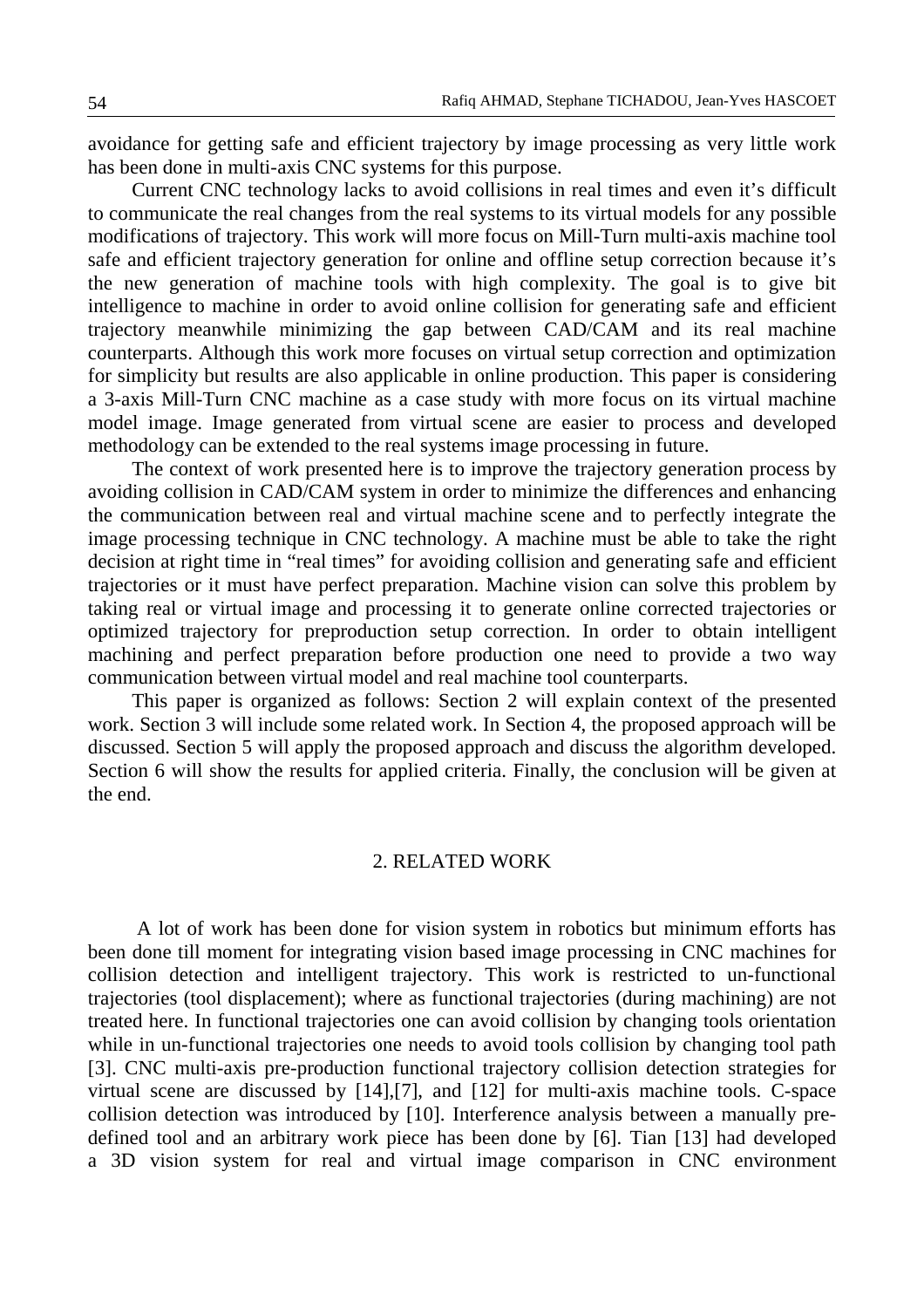avoidance for getting safe and efficient trajectory by image processing as very little work has been done in multi-axis CNC systems for this purpose.

Current CNC technology lacks to avoid collisions in real times and even it's difficult to communicate the real changes from the real systems to its virtual models for any possible modifications of trajectory. This work will more focus on Mill-Turn multi-axis machine tool safe and efficient trajectory generation for online and offline setup correction because it's the new generation of machine tools with high complexity. The goal is to give bit intelligence to machine in order to avoid online collision for generating safe and efficient trajectory meanwhile minimizing the gap between CAD/CAM and its real machine counterparts. Although this work more focuses on virtual setup correction and optimization for simplicity but results are also applicable in online production. This paper is considering a 3-axis Mill-Turn CNC machine as a case study with more focus on its virtual machine model image. Image generated from virtual scene are easier to process and developed methodology can be extended to the real systems image processing in future.

The context of work presented here is to improve the trajectory generation process by avoiding collision in CAD/CAM system in order to minimize the differences and enhancing the communication between real and virtual machine scene and to perfectly integrate the image processing technique in CNC technology. A machine must be able to take the right decision at right time in "real times" for avoiding collision and generating safe and efficient trajectories or it must have perfect preparation. Machine vision can solve this problem by taking real or virtual image and processing it to generate online corrected trajectories or optimized trajectory for preproduction setup correction. In order to obtain intelligent machining and perfect preparation before production one need to provide a two way communication between virtual model and real machine tool counterparts.

This paper is organized as follows: Section 2 will explain context of the presented work. Section 3 will include some related work. In Section 4, the proposed approach will be discussed. Section 5 will apply the proposed approach and discuss the algorithm developed. Section 6 will show the results for applied criteria. Finally, the conclusion will be given at the end.

## 2. RELATED WORK

 A lot of work has been done for vision system in robotics but minimum efforts has been done till moment for integrating vision based image processing in CNC machines for collision detection and intelligent trajectory. This work is restricted to un-functional trajectories (tool displacement); where as functional trajectories (during machining) are not treated here. In functional trajectories one can avoid collision by changing tools orientation while in un-functional trajectories one needs to avoid tools collision by changing tool path [3]. CNC multi-axis pre-production functional trajectory collision detection strategies for virtual scene are discussed by [14],[7], and [12] for multi-axis machine tools. C-space collision detection was introduced by [10]. Interference analysis between a manually predefined tool and an arbitrary work piece has been done by [6]. Tian [13] had developed a 3D vision system for real and virtual image comparison in CNC environment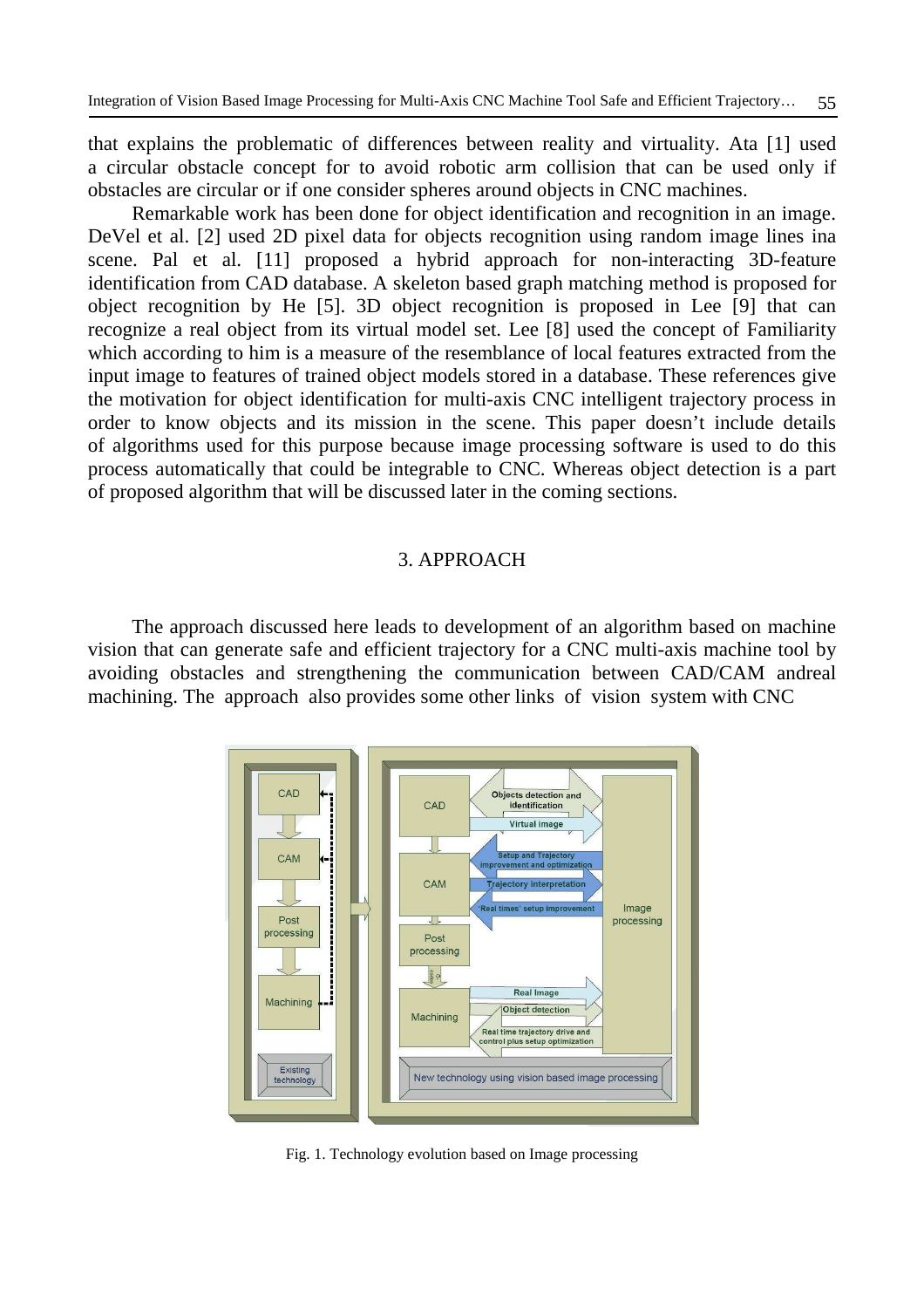that explains the problematic of differences between reality and virtuality. Ata [1] used a circular obstacle concept for to avoid robotic arm collision that can be used only if obstacles are circular or if one consider spheres around objects in CNC machines.

Remarkable work has been done for object identification and recognition in an image. DeVel et al. [2] used 2D pixel data for objects recognition using random image lines ina scene. Pal et al. [11] proposed a hybrid approach for non-interacting 3D-feature identification from CAD database. A skeleton based graph matching method is proposed for object recognition by He [5]. 3D object recognition is proposed in Lee [9] that can recognize a real object from its virtual model set. Lee [8] used the concept of Familiarity which according to him is a measure of the resemblance of local features extracted from the input image to features of trained object models stored in a database. These references give the motivation for object identification for multi-axis CNC intelligent trajectory process in order to know objects and its mission in the scene. This paper doesn't include details of algorithms used for this purpose because image processing software is used to do this process automatically that could be integrable to CNC. Whereas object detection is a part of proposed algorithm that will be discussed later in the coming sections.

## 3. APPROACH

The approach discussed here leads to development of an algorithm based on machine vision that can generate safe and efficient trajectory for a CNC multi-axis machine tool by avoiding obstacles and strengthening the communication between CAD/CAM andreal machining. The approach also provides some other links of vision system with CNC



Fig. 1. Technology evolution based on Image processing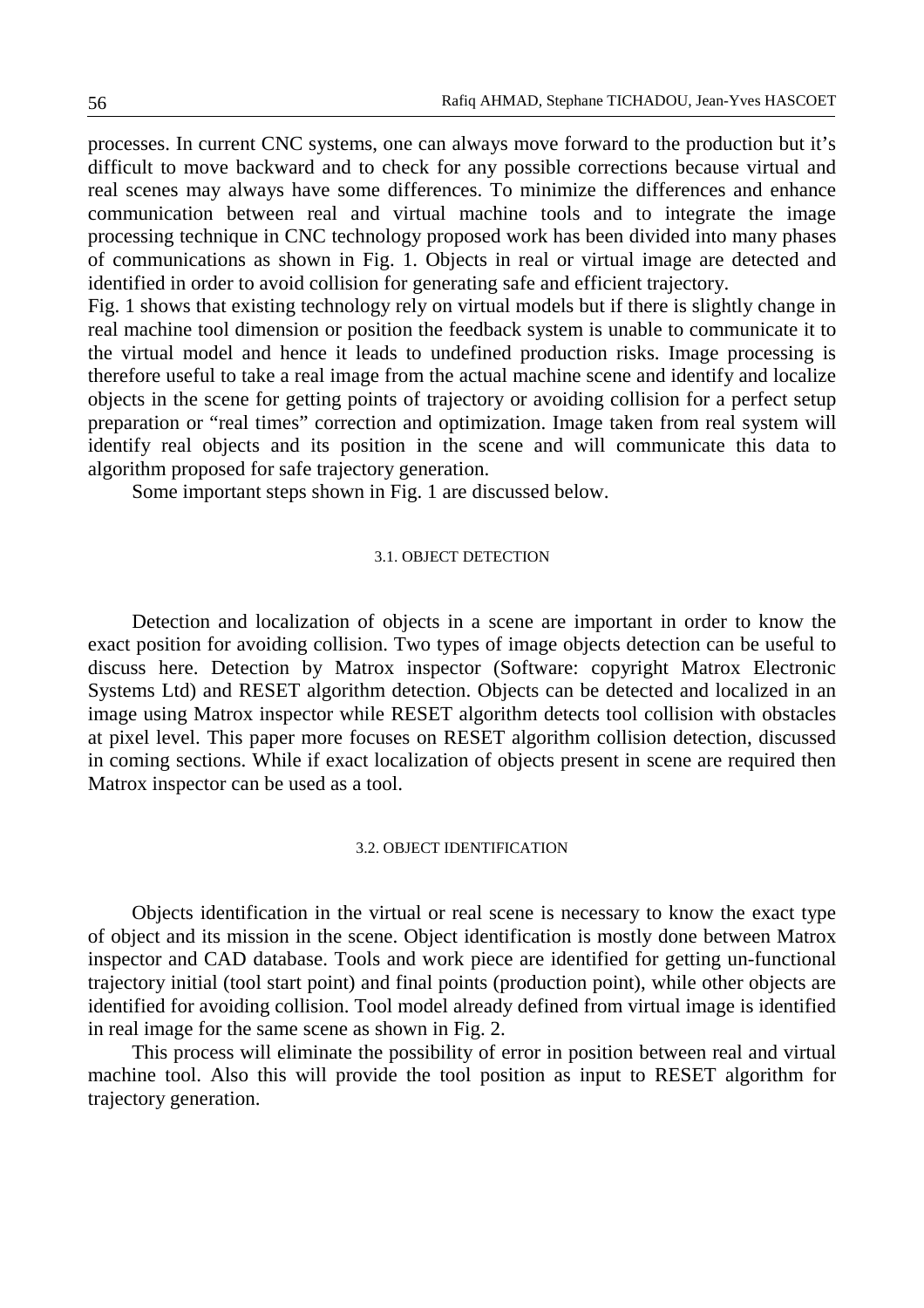processes. In current CNC systems, one can always move forward to the production but it's difficult to move backward and to check for any possible corrections because virtual and real scenes may always have some differences. To minimize the differences and enhance communication between real and virtual machine tools and to integrate the image processing technique in CNC technology proposed work has been divided into many phases of communications as shown in Fig. 1. Objects in real or virtual image are detected and identified in order to avoid collision for generating safe and efficient trajectory.

Fig. 1 shows that existing technology rely on virtual models but if there is slightly change in real machine tool dimension or position the feedback system is unable to communicate it to the virtual model and hence it leads to undefined production risks. Image processing is therefore useful to take a real image from the actual machine scene and identify and localize objects in the scene for getting points of trajectory or avoiding collision for a perfect setup preparation or "real times" correction and optimization. Image taken from real system will identify real objects and its position in the scene and will communicate this data to algorithm proposed for safe trajectory generation.

Some important steps shown in Fig. 1 are discussed below.

## 3.1. OBJECT DETECTION

Detection and localization of objects in a scene are important in order to know the exact position for avoiding collision. Two types of image objects detection can be useful to discuss here. Detection by Matrox inspector (Software: copyright Matrox Electronic Systems Ltd) and RESET algorithm detection. Objects can be detected and localized in an image using Matrox inspector while RESET algorithm detects tool collision with obstacles at pixel level. This paper more focuses on RESET algorithm collision detection, discussed in coming sections. While if exact localization of objects present in scene are required then Matrox inspector can be used as a tool.

#### 3.2. OBJECT IDENTIFICATION

Objects identification in the virtual or real scene is necessary to know the exact type of object and its mission in the scene. Object identification is mostly done between Matrox inspector and CAD database. Tools and work piece are identified for getting un-functional trajectory initial (tool start point) and final points (production point), while other objects are identified for avoiding collision. Tool model already defined from virtual image is identified in real image for the same scene as shown in Fig. 2.

This process will eliminate the possibility of error in position between real and virtual machine tool. Also this will provide the tool position as input to RESET algorithm for trajectory generation.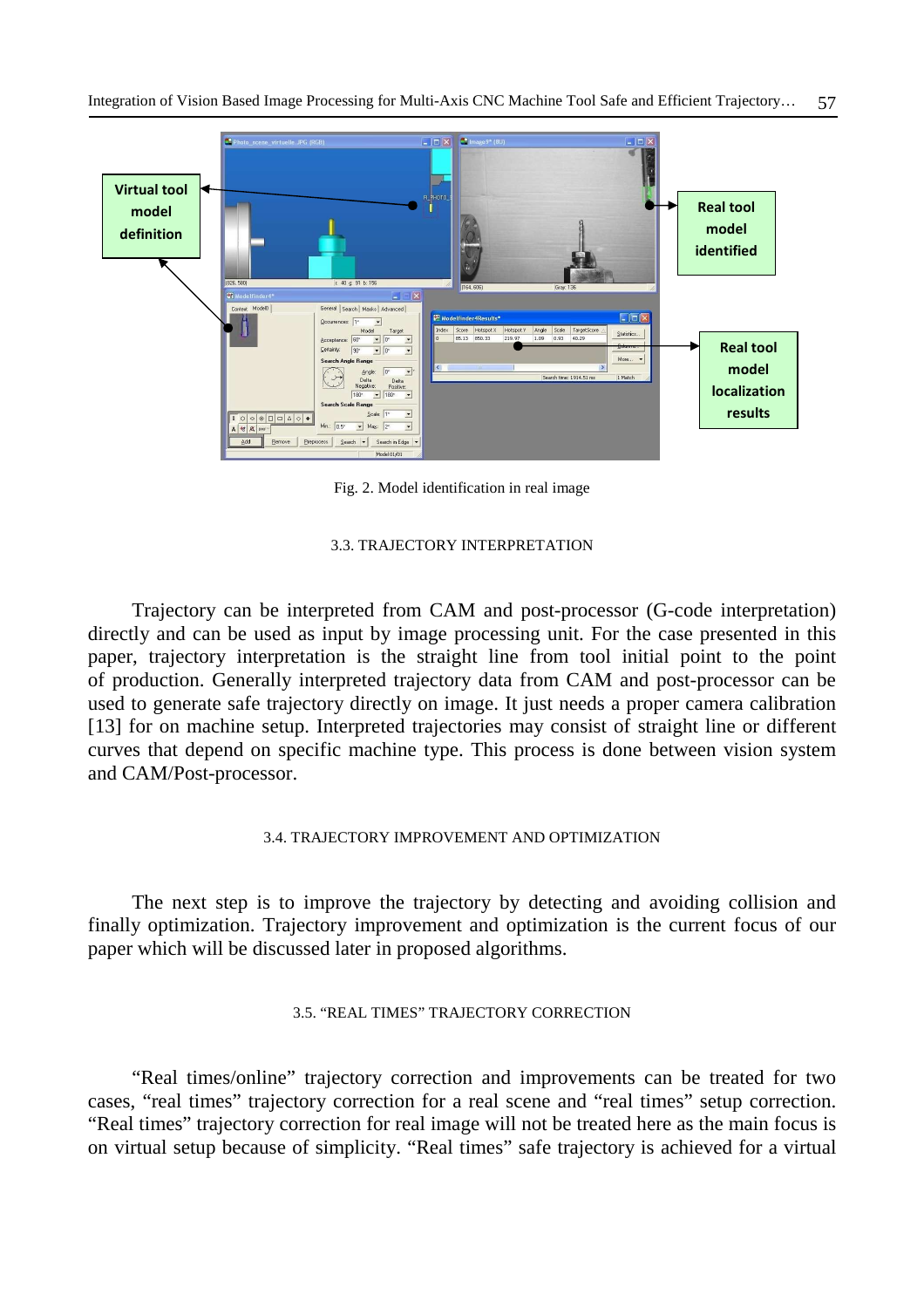

Fig. 2. Model identification in real image

#### 3.3. TRAJECTORY INTERPRETATION

Trajectory can be interpreted from CAM and post-processor (G-code interpretation) directly and can be used as input by image processing unit. For the case presented in this paper, trajectory interpretation is the straight line from tool initial point to the point of production. Generally interpreted trajectory data from CAM and post-processor can be used to generate safe trajectory directly on image. It just needs a proper camera calibration [13] for on machine setup. Interpreted trajectories may consist of straight line or different curves that depend on specific machine type. This process is done between vision system and CAM/Post-processor.

### 3.4. TRAJECTORY IMPROVEMENT AND OPTIMIZATION

The next step is to improve the trajectory by detecting and avoiding collision and finally optimization. Trajectory improvement and optimization is the current focus of our paper which will be discussed later in proposed algorithms.

## 3.5. "REAL TIMES" TRAJECTORY CORRECTION

"Real times/online" trajectory correction and improvements can be treated for two cases, "real times" trajectory correction for a real scene and "real times" setup correction. "Real times" trajectory correction for real image will not be treated here as the main focus is on virtual setup because of simplicity. "Real times" safe trajectory is achieved for a virtual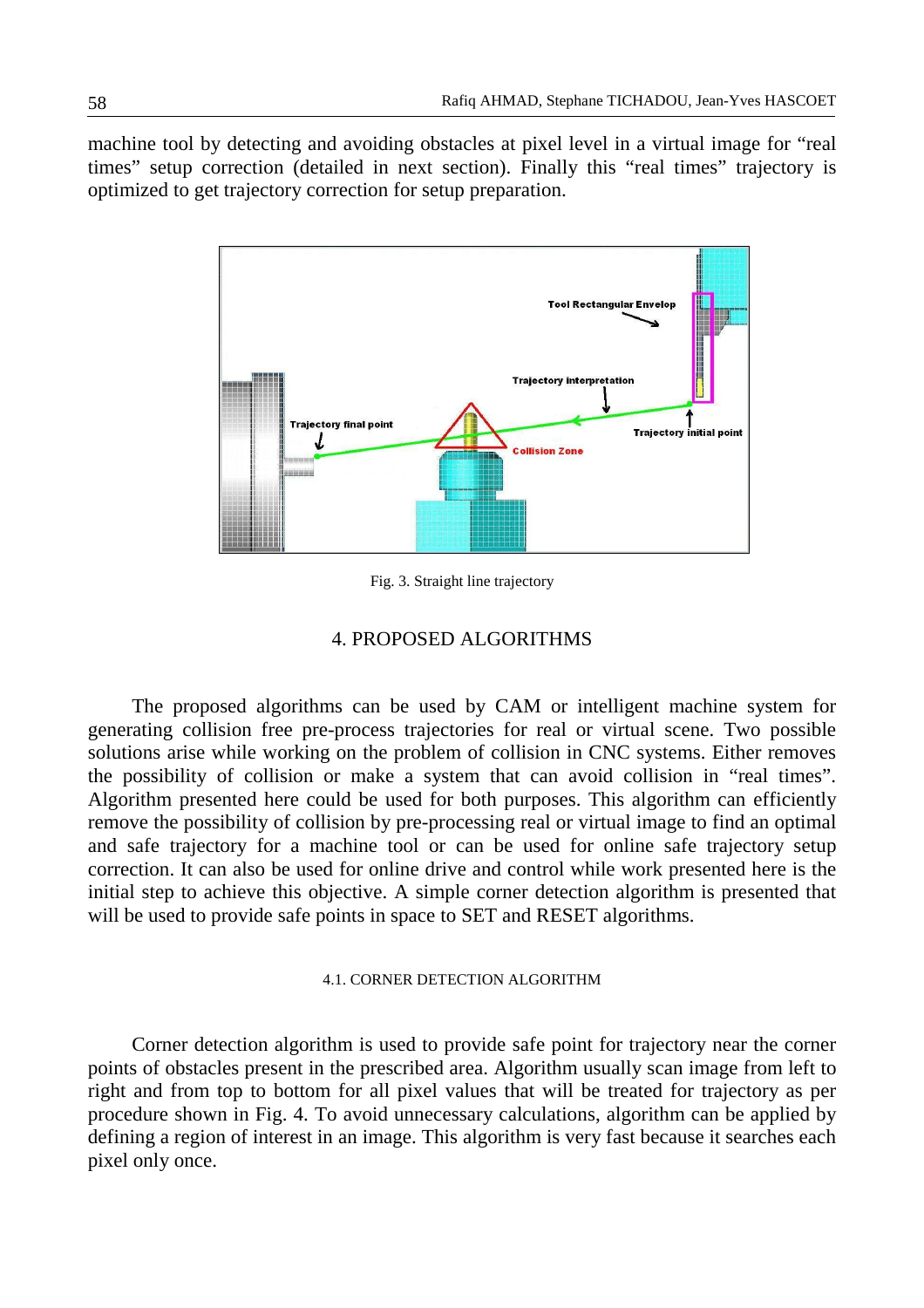machine tool by detecting and avoiding obstacles at pixel level in a virtual image for "real times" setup correction (detailed in next section). Finally this "real times" trajectory is optimized to get trajectory correction for setup preparation.



Fig. 3. Straight line trajectory

# 4. PROPOSED ALGORITHMS

The proposed algorithms can be used by CAM or intelligent machine system for generating collision free pre-process trajectories for real or virtual scene. Two possible solutions arise while working on the problem of collision in CNC systems. Either removes the possibility of collision or make a system that can avoid collision in "real times". Algorithm presented here could be used for both purposes. This algorithm can efficiently remove the possibility of collision by pre-processing real or virtual image to find an optimal and safe trajectory for a machine tool or can be used for online safe trajectory setup correction. It can also be used for online drive and control while work presented here is the initial step to achieve this objective. A simple corner detection algorithm is presented that will be used to provide safe points in space to SET and RESET algorithms.

#### 4.1. CORNER DETECTION ALGORITHM

Corner detection algorithm is used to provide safe point for trajectory near the corner points of obstacles present in the prescribed area. Algorithm usually scan image from left to right and from top to bottom for all pixel values that will be treated for trajectory as per procedure shown in Fig. 4. To avoid unnecessary calculations, algorithm can be applied by defining a region of interest in an image. This algorithm is very fast because it searches each pixel only once.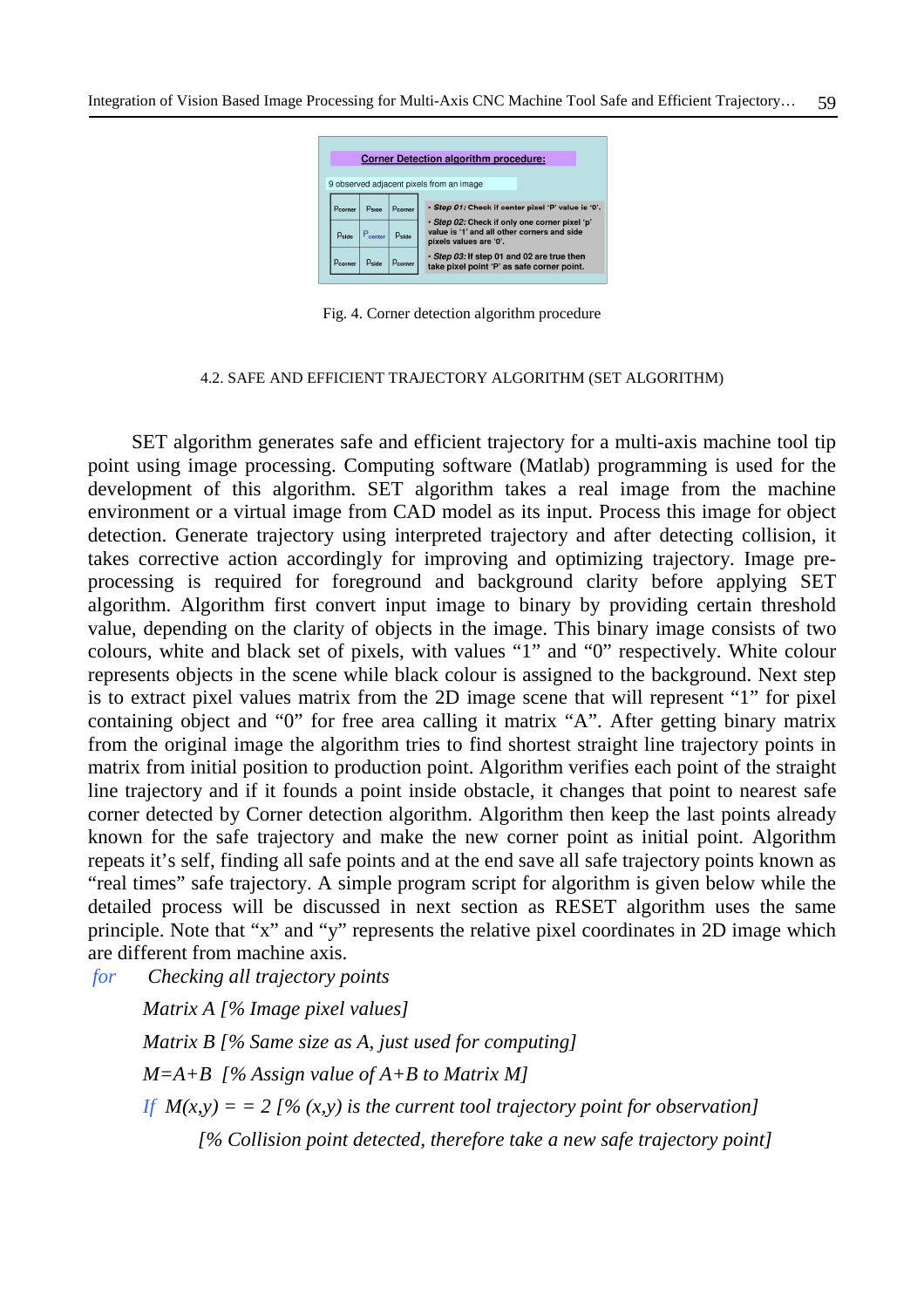

Fig. 4. Corner detection algorithm procedure

#### 4.2. SAFE AND EFFICIENT TRAJECTORY ALGORITHM (SET ALGORITHM)

SET algorithm generates safe and efficient trajectory for a multi-axis machine tool tip point using image processing. Computing software (Matlab) programming is used for the development of this algorithm. SET algorithm takes a real image from the machine environment or a virtual image from CAD model as its input. Process this image for object detection. Generate trajectory using interpreted trajectory and after detecting collision, it takes corrective action accordingly for improving and optimizing trajectory. Image preprocessing is required for foreground and background clarity before applying SET algorithm. Algorithm first convert input image to binary by providing certain threshold value, depending on the clarity of objects in the image. This binary image consists of two colours, white and black set of pixels, with values "1" and "0" respectively. White colour represents objects in the scene while black colour is assigned to the background. Next step is to extract pixel values matrix from the 2D image scene that will represent "1" for pixel containing object and "0" for free area calling it matrix "A". After getting binary matrix from the original image the algorithm tries to find shortest straight line trajectory points in matrix from initial position to production point. Algorithm verifies each point of the straight line trajectory and if it founds a point inside obstacle, it changes that point to nearest safe corner detected by Corner detection algorithm. Algorithm then keep the last points already known for the safe trajectory and make the new corner point as initial point. Algorithm repeats it's self, finding all safe points and at the end save all safe trajectory points known as "real times" safe trajectory. A simple program script for algorithm is given below while the detailed process will be discussed in next section as RESET algorithm uses the same principle. Note that "x" and "y" represents the relative pixel coordinates in 2D image which are different from machine axis.

*for Checking all trajectory points* 

*Matrix A [% Image pixel values] Matrix B [% Same size as A, just used for computing] M=A+B [% Assign value of A+B to Matrix M] If*  $M(x,y) = 2 \frac{\alpha}{\alpha}$  *I (x,y) is the current tool trajectory point for observation [% Collision point detected, therefore take a new safe trajectory point]*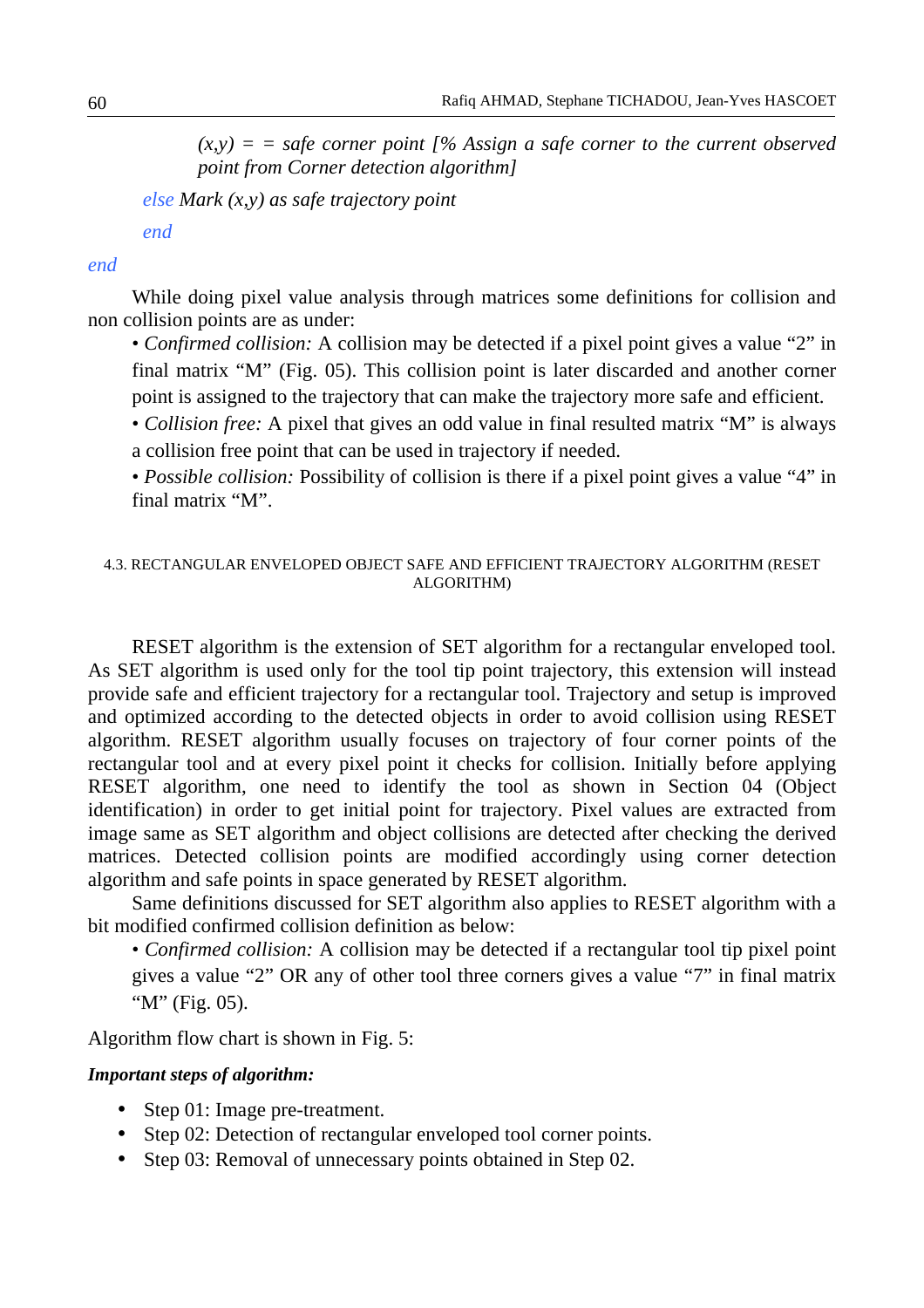$(x,y) =$  = safe corner point  $\int$ % Assign a safe corner to the current observed *point from Corner detection algorithm]* 

*else Mark (x,y) as safe trajectory point* 

*end* 

# *end*

While doing pixel value analysis through matrices some definitions for collision and non collision points are as under:

- *Confirmed collision:* A collision may be detected if a pixel point gives a value "2" in final matrix "M" (Fig. 05). This collision point is later discarded and another corner point is assigned to the trajectory that can make the trajectory more safe and efficient.
- *Collision free:* A pixel that gives an odd value in final resulted matrix "M" is always a collision free point that can be used in trajectory if needed.
- *Possible collision:* Possibility of collision is there if a pixel point gives a value "4" in final matrix "M".

## 4.3. RECTANGULAR ENVELOPED OBJECT SAFE AND EFFICIENT TRAJECTORY ALGORITHM (RESET ALGORITHM)

RESET algorithm is the extension of SET algorithm for a rectangular enveloped tool. As SET algorithm is used only for the tool tip point trajectory, this extension will instead provide safe and efficient trajectory for a rectangular tool. Trajectory and setup is improved and optimized according to the detected objects in order to avoid collision using RESET algorithm. RESET algorithm usually focuses on trajectory of four corner points of the rectangular tool and at every pixel point it checks for collision. Initially before applying RESET algorithm, one need to identify the tool as shown in Section 04 (Object identification) in order to get initial point for trajectory. Pixel values are extracted from image same as SET algorithm and object collisions are detected after checking the derived matrices. Detected collision points are modified accordingly using corner detection algorithm and safe points in space generated by RESET algorithm.

Same definitions discussed for SET algorithm also applies to RESET algorithm with a bit modified confirmed collision definition as below:

• *Confirmed collision:* A collision may be detected if a rectangular tool tip pixel point gives a value "2" OR any of other tool three corners gives a value "7" in final matrix " $M$ " (Fig. 05).

Algorithm flow chart is shown in Fig. 5:

# *Important steps of algorithm:*

- Step 01: Image pre-treatment.
- Step 02: Detection of rectangular enveloped tool corner points.
- Step 03: Removal of unnecessary points obtained in Step 02.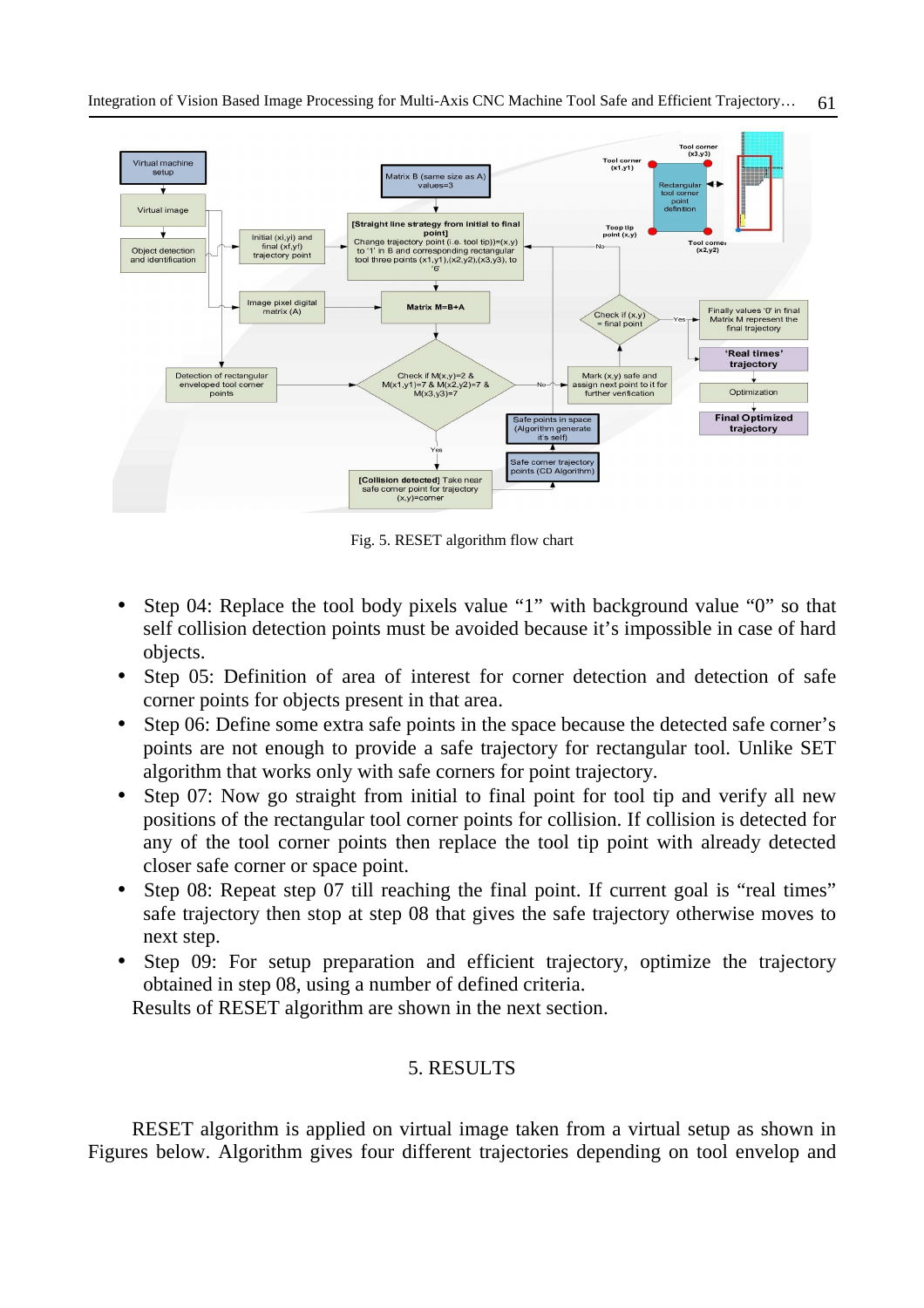

Fig. 5. RESET algorithm flow chart

- Step 04: Replace the tool body pixels value "1" with background value "0" so that self collision detection points must be avoided because it's impossible in case of hard objects.
- Step 05: Definition of area of interest for corner detection and detection of safe corner points for objects present in that area.
- Step 06: Define some extra safe points in the space because the detected safe corner's points are not enough to provide a safe trajectory for rectangular tool. Unlike SET algorithm that works only with safe corners for point trajectory.
- Step 07: Now go straight from initial to final point for tool tip and verify all new positions of the rectangular tool corner points for collision. If collision is detected for any of the tool corner points then replace the tool tip point with already detected closer safe corner or space point.
- Step 08: Repeat step 07 till reaching the final point. If current goal is "real times" safe trajectory then stop at step 08 that gives the safe trajectory otherwise moves to next step.
- Step 09: For setup preparation and efficient trajectory, optimize the trajectory obtained in step 08, using a number of defined criteria.

Results of RESET algorithm are shown in the next section.

# 5. RESULTS

RESET algorithm is applied on virtual image taken from a virtual setup as shown in Figures below. Algorithm gives four different trajectories depending on tool envelop and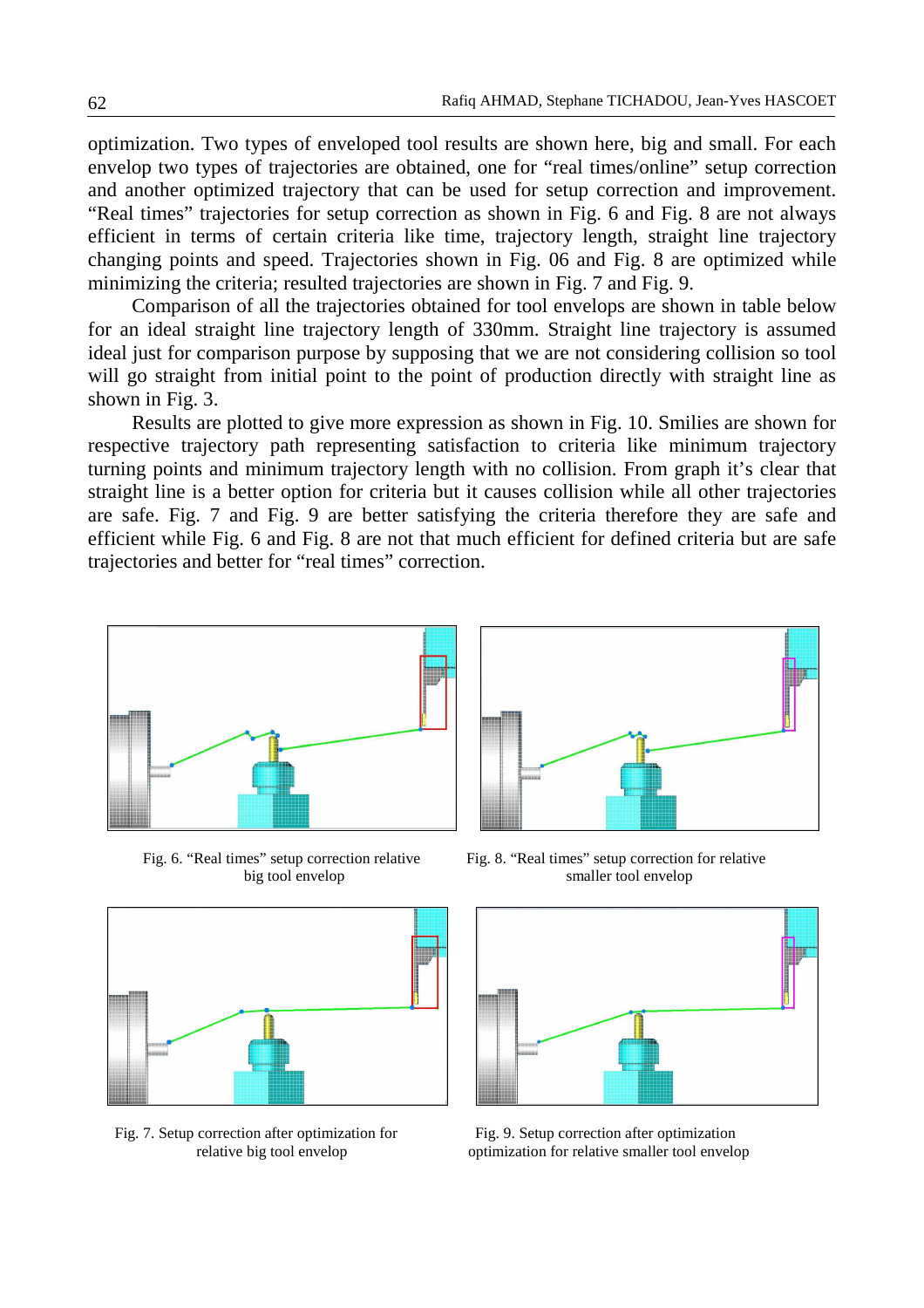optimization. Two types of enveloped tool results are shown here, big and small. For each envelop two types of trajectories are obtained, one for "real times/online" setup correction and another optimized trajectory that can be used for setup correction and improvement. "Real times" trajectories for setup correction as shown in Fig. 6 and Fig. 8 are not always efficient in terms of certain criteria like time, trajectory length, straight line trajectory changing points and speed. Trajectories shown in Fig. 06 and Fig. 8 are optimized while minimizing the criteria; resulted trajectories are shown in Fig. 7 and Fig. 9.

Comparison of all the trajectories obtained for tool envelops are shown in table below for an ideal straight line trajectory length of 330mm. Straight line trajectory is assumed ideal just for comparison purpose by supposing that we are not considering collision so tool will go straight from initial point to the point of production directly with straight line as shown in Fig. 3.

Results are plotted to give more expression as shown in Fig. 10. Smilies are shown for respective trajectory path representing satisfaction to criteria like minimum trajectory turning points and minimum trajectory length with no collision. From graph it's clear that straight line is a better option for criteria but it causes collision while all other trajectories are safe. Fig. 7 and Fig. 9 are better satisfying the criteria therefore they are safe and efficient while Fig. 6 and Fig. 8 are not that much efficient for defined criteria but are safe trajectories and better for "real times" correction.





Fig. 7. Setup correction after optimization for Fig. 9. Setup correction after optimization



Fig. 6. "Real times" setup correction relative Fig. 8. "Real times" setup correction for relative big tool envelop smaller tool envelop



relative big tool envelop optimization for relative smaller tool envelop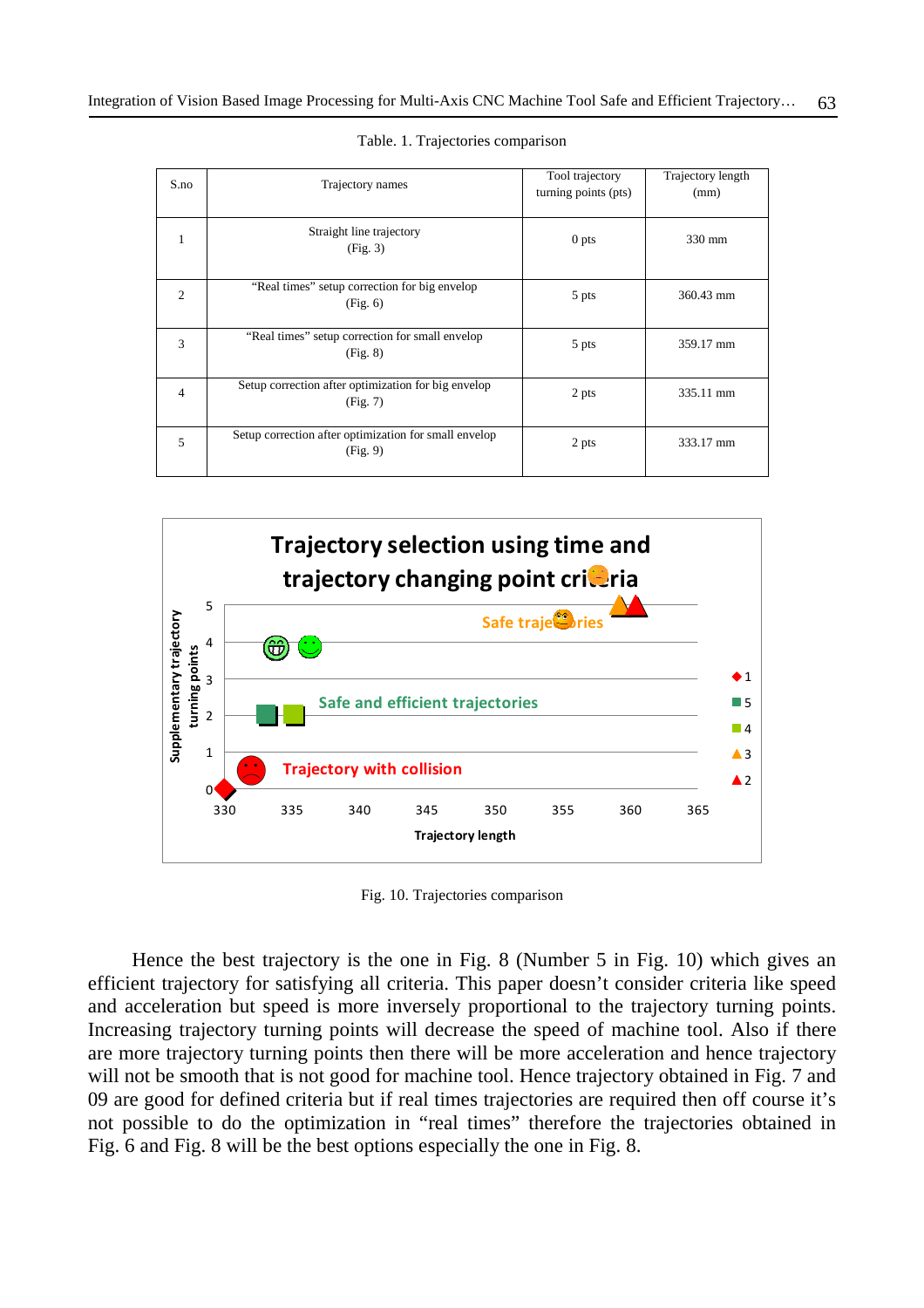| S.no           | Trajectory names                                                  | Tool trajectory<br>turning points (pts) | Trajectory length<br>(mm) |
|----------------|-------------------------------------------------------------------|-----------------------------------------|---------------------------|
|                |                                                                   |                                         |                           |
|                | Straight line trajectory<br>(Fig. 3)                              | 0 <sub>pts</sub>                        | 330 mm                    |
| $\overline{c}$ | "Real times" setup correction for big envelop<br>(Fig. 6)         | 5 pts                                   | 360.43 mm                 |
| 3              | "Real times" setup correction for small envelop<br>(Fig. 8)       | 5 pts                                   | 359.17 mm                 |
| 4              | Setup correction after optimization for big envelop<br>(Fig. 7)   | 2 pts                                   | 335.11 mm                 |
| 5              | Setup correction after optimization for small envelop<br>(Fig. 9) | 2 pts                                   | 333.17 mm                 |

Table. 1. Trajectories comparison



Fig. 10. Trajectories comparison

Hence the best trajectory is the one in Fig. 8 (Number 5 in Fig. 10) which gives an efficient trajectory for satisfying all criteria. This paper doesn't consider criteria like speed and acceleration but speed is more inversely proportional to the trajectory turning points. Increasing trajectory turning points will decrease the speed of machine tool. Also if there are more trajectory turning points then there will be more acceleration and hence trajectory will not be smooth that is not good for machine tool. Hence trajectory obtained in Fig. 7 and 09 are good for defined criteria but if real times trajectories are required then off course it's not possible to do the optimization in "real times" therefore the trajectories obtained in Fig. 6 and Fig. 8 will be the best options especially the one in Fig. 8.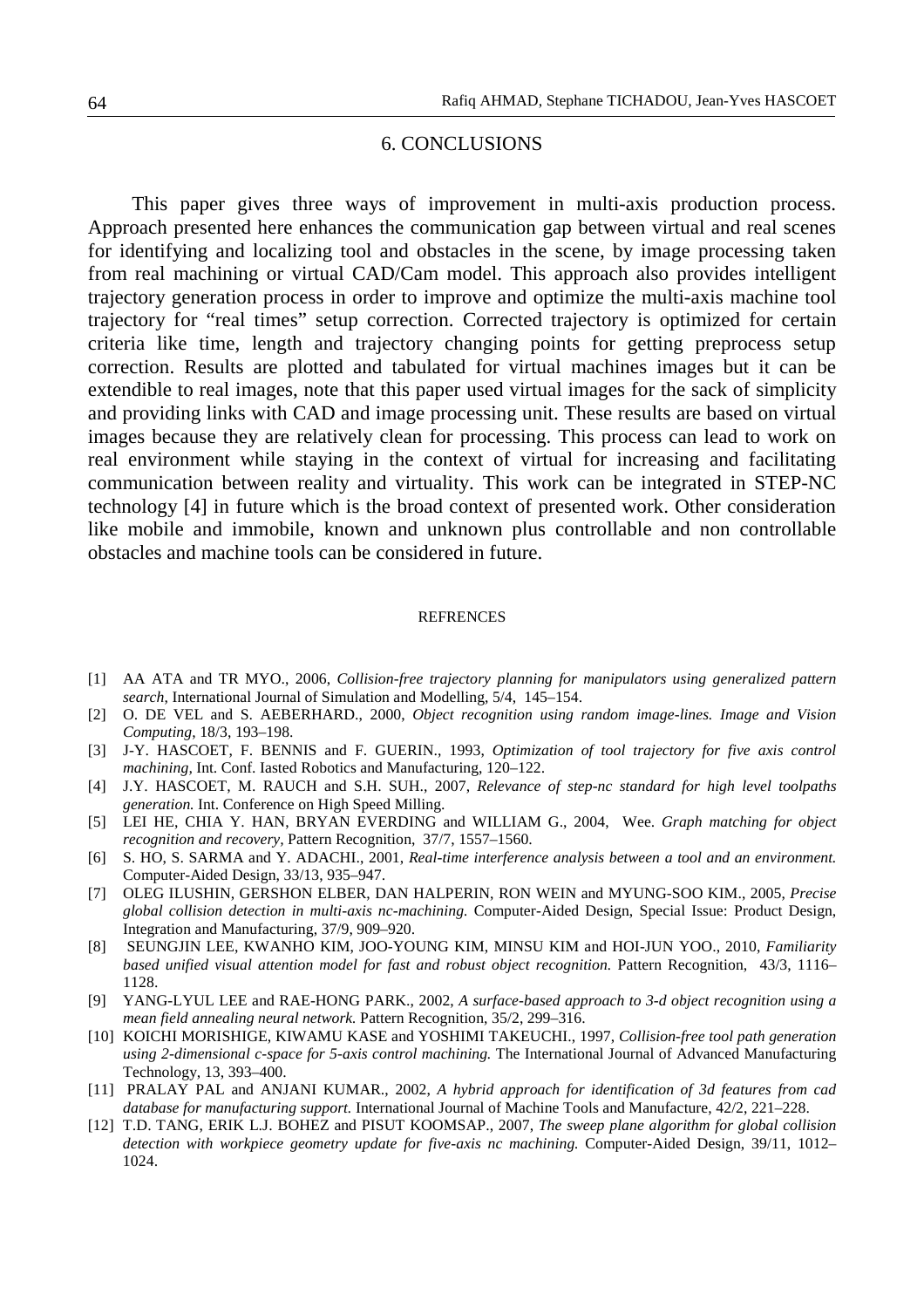## 6. CONCLUSIONS

This paper gives three ways of improvement in multi-axis production process. Approach presented here enhances the communication gap between virtual and real scenes for identifying and localizing tool and obstacles in the scene, by image processing taken from real machining or virtual CAD/Cam model. This approach also provides intelligent trajectory generation process in order to improve and optimize the multi-axis machine tool trajectory for "real times" setup correction. Corrected trajectory is optimized for certain criteria like time, length and trajectory changing points for getting preprocess setup correction. Results are plotted and tabulated for virtual machines images but it can be extendible to real images, note that this paper used virtual images for the sack of simplicity and providing links with CAD and image processing unit. These results are based on virtual images because they are relatively clean for processing. This process can lead to work on real environment while staying in the context of virtual for increasing and facilitating communication between reality and virtuality. This work can be integrated in STEP-NC technology [4] in future which is the broad context of presented work. Other consideration like mobile and immobile, known and unknown plus controllable and non controllable obstacles and machine tools can be considered in future.

#### **REFRENCES**

- [1] AA ATA and TR MYO., 2006, *Collision-free trajectory planning for manipulators using generalized pattern search*, International Journal of Simulation and Modelling, 5/4, 145–154.
- [2] O. DE VEL and S. AEBERHARD., 2000, *Object recognition using random image-lines. Image and Vision Computing*, 18/3, 193–198.
- [3] J-Y. HASCOET, F. BENNIS and F. GUERIN., 1993, *Optimization of tool trajectory for five axis control machining,* Int. Conf. Iasted Robotics and Manufacturing, 120–122.
- [4] J.Y. HASCOET, M. RAUCH and S.H. SUH., 2007, *Relevance of step-nc standard for high level toolpaths generation.* Int. Conference on High Speed Milling.
- [5] LEI HE, CHIA Y. HAN, BRYAN EVERDING and WILLIAM G., 2004, Wee. *Graph matching for object recognition and recovery,* Pattern Recognition, 37/7, 1557–1560.
- [6] S. HO, S. SARMA and Y. ADACHI., 2001, *Real-time interference analysis between a tool and an environment.* Computer-Aided Design, 33/13, 935–947.
- [7] OLEG ILUSHIN, GERSHON ELBER, DAN HALPERIN, RON WEIN and MYUNG-SOO KIM., 2005, *Precise global collision detection in multi-axis nc-machining.* Computer-Aided Design, Special Issue: Product Design, Integration and Manufacturing, 37/9, 909–920.
- [8] SEUNGJIN LEE, KWANHO KIM, JOO-YOUNG KIM, MINSU KIM and HOI-JUN YOO., 2010, *Familiarity based unified visual attention model for fast and robust object recognition.* Pattern Recognition, 43/3, 1116– 1128.
- [9] YANG-LYUL LEE and RAE-HONG PARK., 2002, *A surface-based approach to 3-d object recognition using a mean field annealing neural network.* Pattern Recognition, 35/2, 299–316.
- [10] KOICHI MORISHIGE, KIWAMU KASE and YOSHIMI TAKEUCHI., 1997, *Collision-free tool path generation using 2-dimensional c-space for 5-axis control machining.* The International Journal of Advanced Manufacturing Technology, 13, 393–400.
- [11] PRALAY PAL and ANJANI KUMAR., 2002, *A hybrid approach for identification of 3d features from cad database for manufacturing support.* International Journal of Machine Tools and Manufacture, 42/2, 221–228.
- [12] T.D. TANG, ERIK L.J. BOHEZ and PISUT KOOMSAP., 2007, *The sweep plane algorithm for global collision detection with workpiece geometry update for five-axis nc machining.* Computer-Aided Design, 39/11, 1012– 1024.